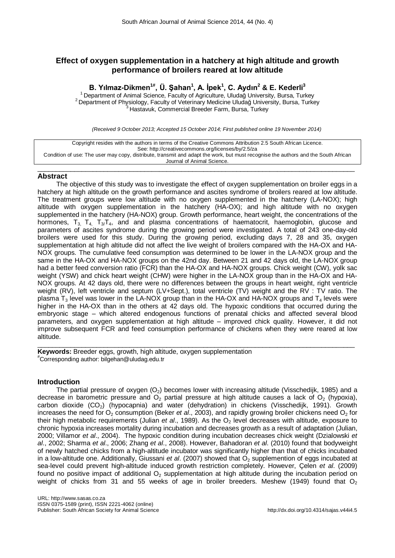# **Effect of oxygen supplementation in a hatchery at high altitude and growth performance of broilers reared at low altitude**

# **B. Yılmaz-Dikmen1#, Ü. Şahan<sup>1</sup> , A. İpek<sup>1</sup> , C. Aydın<sup>2</sup> & E. Kederli3**

<sup>1</sup> Department of Animal Science, Faculty of Agriculture, Uludağ University, Bursa, Turkey<br><sup>2</sup> Department of Physiology, Faculty of Veterinary Medicine Uludağ University, Bursa, Turkey<br><sup>3</sup> Hastavuk, Commercial Breeder Far

*(Received 9 October 2013; Accepted 15 October 2014; First published online 19 November 2014)*

| Copyright resides with the authors in terms of the Creative Commons Attribution 2.5 South African Licence.                         |
|------------------------------------------------------------------------------------------------------------------------------------|
| See: http://creativecommons.org/licenses/by/2.5/za                                                                                 |
| Condition of use: The user may copy, distribute, transmit and adapt the work, but must recognise the authors and the South African |
| Journal of Animal Science.                                                                                                         |

 $\_$  ,  $\_$  ,  $\_$  ,  $\_$  ,  $\_$  ,  $\_$  ,  $\_$  ,  $\_$  ,  $\_$  ,  $\_$  ,  $\_$  ,  $\_$  ,  $\_$  ,  $\_$  ,  $\_$  ,  $\_$  ,  $\_$  ,  $\_$  ,  $\_$  ,  $\_$  ,  $\_$  ,  $\_$  ,  $\_$  ,  $\_$  ,  $\_$  ,  $\_$  ,  $\_$  ,  $\_$  ,  $\_$  ,  $\_$  ,  $\_$  ,  $\_$  ,  $\_$  ,  $\_$  ,  $\_$  ,  $\_$  ,  $\_$  ,

## **Abstract**

The objective of this study was to investigate the effect of oxygen supplementation on broiler eggs in a hatchery at high altitude on the growth performance and ascites syndrome of broilers reared at low altitude. The treatment groups were low altitude with no oxygen supplemented in the hatchery (LA-NOX); high altitude with oxygen supplementation in the hatchery (HA-OX); and high altitude with no oxygen supplemented in the hatchery (HA-NOX) group. Growth performance, heart weight, the concentrations of the hormones,  $T_3$ ,  $T_4$ ,  $T_3/T_4$ , and and plasma concentrations of haematocrit, haemoglobin, glucose and parameters of ascites syndrome during the growing period were investigated. A total of 243 one-day-old broilers were used for this study. During the growing period, excluding days 7, 28 and 35, oxygen supplementation at high altitude did not affect the live weight of broilers compared with the HA-OX and HA-NOX groups. The cumulative feed consumption was determined to be lower in the LA-NOX group and the same in the HA-OX and HA-NOX groups on the 42nd day. Between 21 and 42 days old, the LA-NOX group had a better feed conversion ratio (FCR) than the HA-OX and HA-NOX groups. Chick weight (CW), yolk sac weight (YSW) and chick heart weight (CHW) were higher in the LA-NOX group than in the HA-OX and HA-NOX groups. At 42 days old, there were no differences between the groups in heart weight, right ventricle weight (RV), left ventricle and septum (LV+Sept.), total ventricle (TV) weight and the RV : TV ratio. The plasma  $T_3$  level was lower in the LA-NOX group than in the HA-OX and HA-NOX groups and  $T_4$  levels were higher in the HA-OX than in the others at 42 days old. The hypoxic conditions that occurred during the embryonic stage – which altered endogenous functions of prenatal chicks and affected several blood parameters, and oxygen supplementation at high altitude – improved chick quality. However, it did not improve subsequent FCR and feed consumption performance of chickens when they were reared at low altitude.

 $\_$  ,  $\_$  ,  $\_$  ,  $\_$  ,  $\_$  ,  $\_$  ,  $\_$  ,  $\_$  ,  $\_$  ,  $\_$  ,  $\_$  ,  $\_$  ,  $\_$  ,  $\_$  ,  $\_$  ,  $\_$  ,  $\_$  ,  $\_$  ,  $\_$  ,  $\_$  ,  $\_$  ,  $\_$  ,  $\_$  ,  $\_$  ,  $\_$  ,  $\_$  ,  $\_$  ,  $\_$  ,  $\_$  ,  $\_$  ,  $\_$  ,  $\_$  ,  $\_$  ,  $\_$  ,  $\_$  ,  $\_$  ,  $\_$  ,

**Keywords:** Breeder eggs, growth, high altitude, oxygen supplementation # Corresponding author: bilgehan@uludag.edu.tr

## **Introduction**

The partial pressure of oxygen  $(O_2)$  becomes lower with increasing altitude (Visschedijk, 1985) and a decrease in barometric pressure and  $O<sub>2</sub>$  partial pressure at high altitude causes a lack of  $O<sub>2</sub>$  (hypoxia), carbon dioxide (CO<sub>2</sub>) (hypocapnia) and water (dehydration) in chickens (Visschedijk, 1991). Growth increases the need for O<sub>2</sub> consumption (Beker *et al.*, 2003), and rapidly growing broiler chickens need O<sub>2</sub> for their high metabolic requirements (Julian *et al.*, 1989). As the O<sub>2</sub> level decreases with altitude, exposure to chronic hypoxia increases mortality during incubation and decreases growth as a result of adaptation (Julian, 2000; Villamor *et al*., 2004). The hypoxic condition during incubation decreases chick weight (Dzialowski *et al*., 2002; Sharma *et al*., 2006; Zhang *et al*., 2008). However, Bahadoran *et al*. (2010) found that bodyweight of newly hatched chicks from a high-altitude incubator was significantly higher than that of chicks incubated in a low-altitude one. Additionally, Giussani *et al.* (2007) showed that O<sub>2</sub> supplemention of eggs incubated at sea-level could prevent high-altitude induced growth restriction completely. However, Çelen *et al*. (2009) found no positive impact of additional  $O<sub>2</sub>$  supplementation at high altitude during the incubation period on weight of chicks from 31 and 55 weeks of age in broiler breeders. Meshew (1949) found that  $O<sub>2</sub>$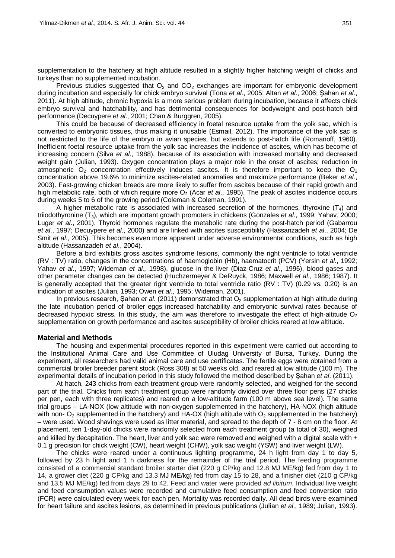supplementation to the hatchery at high altitude resulted in a slightly higher hatching weight of chicks and turkeys than no supplemented incubation.

Previous studies suggested that  $O<sub>2</sub>$  and CO<sub>2</sub> exchanges are important for embryonic development during incubation and especially for chick embryo survival (Tona *et al*., 2005; Altan *et al*., 2006; Şahan *et al*., 2011). At high altitude, chronic hypoxia is a more serious problem during incubation, because it affects chick embryo survival and hatchability, and has detrimental consequences for bodyweight and post-hatch bird performance (Decuypere *et al*., 2001; Chan & Burggren, 2005).

This could be because of decreased efficiency in foetal resource uptake from the yolk sac, which is converted to embryonic tissues, thus making it unusable (Esmail, 2012). The importance of the yolk sac is not restricted to the life of the embryo in avian species, but extends to post-hatch life (Romanoff, 1960). Inefficient foetal resource uptake from the yolk sac increases the incidence of ascites, which has become of increasing concern (Silva *et al*., 1988), because of its association with increased mortality and decreased weight gain (Julian, 1993). Oxygen concentration plays a major role in the onset of ascites; reduction in atmospheric  $O_2$  concentration effectively induces ascites. It is therefore important to keep the  $O_2$ concentration above 19.6% to minimize ascites-related anomalies and maximize performance (Beker *et al*., 2003). Fast-growing chicken breeds are more likely to suffer from ascites because of their rapid growth and high metabolic rate, both of which require more O<sub>2</sub> (Acar *et al.*, 1995). The peak of ascites incidence occurs during weeks 5 to 6 of the growing period (Coleman & Coleman, 1991).

A higher metabolic rate is associated with increased secretion of the hormones, thyroxine  $(T_4)$  and triiodothyronine (T3), which are important growth promoters in chickens (Gonzales *et al*., 1999; Yahav, 2000; Luger *et al*., 2001). Thyroid hormones regulate the metabolic rate during the post-hatch period (Gabarrou *et al*., 1997; Decuypere *et al*., 2000) and are linked with ascites susceptibility (Hassanzadeh *et al*., 2004; De Smit *et al*., 2005). This becomes even more apparent under adverse environmental conditions, such as high altitude (Hassanzadeh *et al*., 2004).

Before a bird exhibits gross ascites syndrome lesions, commonly the right ventricle to total ventricle (RV : TV) ratio, changes in the concentrations of haemoglobin (Hb), haematocrit (PCV) (Yersin *et al*., 1992; Yahav *et al*., 1997; Wideman *et al.,* 1998), glucose in the liver (Diaz-Cruz *et al*., 1996), blood gases and other parameter changes can be detected (Huchzermeyer & DeRuyck, 1986; Maxwell *et al*., 1986; 1987). It is generally accepted that the greater right ventricle to total ventricle ratio (RV : TV) (0.29 vs. 0.20) is an indication of ascites (Julian, 1993; Owen *et al*., 1995; Wideman, 2001).

In previous research, Şahan *et al.* (2011) demonstrated that O<sub>2</sub> supplementation at high altitude during the late incubation period of broiler eggs increased hatchability and embryonic survival rates because of decreased hypoxic stress. In this study, the aim was therefore to investigate the effect of high-altitude  $O<sub>2</sub>$ supplementation on growth performance and ascites susceptibility of broiler chicks reared at low altitude.

#### **Material and Methods**

The housing and experimental procedures reported in this experiment were carried out according to the Institutional Animal Care and Use Committee of Uludag University of Bursa, Turkey. During the experiment, all researchers had valid animal care and use certificates. The fertile eggs were obtained from a commercial broiler breeder parent stock (Ross 308) at 50 weeks old, and reared at low altitude (100 m). The experimental details of incubation period in this study followed the method described by Şahan *et al*. (2011).

At hatch, 243 chicks from each treatment group were randomly selected, and weighed for the second part of the trial. Chicks from each treatment group were randomly divided over three floor pens (27 chicks per pen, each with three replicates) and reared on a low-altitude farm (100 m above sea level). The same trial groups ‒ LA-NOX (low altitude with non-oxygen supplemented in the hatchery), HA-NOX (high altitude with non-  $O_2$  supplemented in the hatchery) and HA-OX (high altitude with  $O_2$  supplemented in the hatchery) ‒ were used. Wood shavings were used as litter material, and spread to the depth of 7 - 8 cm on the floor. At placement, ten 1-day-old chicks were randomly selected from each treatment group (a total of 30), weighed and killed by decapitation. The heart, liver and yolk sac were removed and weighed with a digital scale with  $\pm$ 0.1 g precision for chick weight (CW), heart weight (CHW), yolk sac weight (YSW) and liver weight (LW).

The chicks were reared under a continuous lighting programme, 24 h light from day 1 to day 5, followed by 23 h light and 1 h darkness for the remainder of the trial period. The feeding programme consisted of a commercial standard broiler starter diet (220 g CP/kg and 12.8 MJ ME/kg) fed from day 1 to 14, a grower diet (220 g CP/kg and 13.3 MJ ME/kg) fed from day 15 to 28, and a finisher diet (210 g CP/kg and 13.5 MJ ME/kg) fed from days 29 to 42. Feed and water were provided *ad libitum*. Individual live weight and feed consumption values were recorded and cumulative feed consumption and feed conversion ratio (FCR) were calculated every week for each pen. Mortality was recorded daily. All dead birds were examined for heart failure and ascites lesions, as determined in previous publications (Julian *et al*., 1989; Julian, 1993).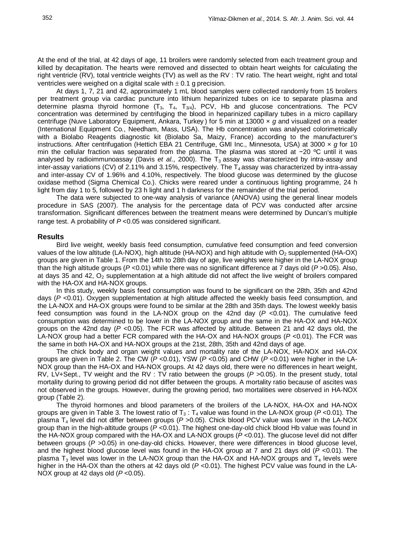At the end of the trial, at 42 days of age, 11 broilers were randomly selected from each treatment group and killed by decapitation. The hearts were removed and dissected to obtain heart weights for calculating the right ventricle (RV), total ventricle weights (TV) as well as the RV : TV ratio. The heart weight, right and total ventricles were weighed on a digital scale with  $\pm$  0.1 g precision.

At days 1, 7, 21 and 42, approximately 1 mL blood samples were collected randomly from 15 broilers per treatment group via cardiac puncture into lithium heparinized tubes on ice to separate plasma and determine plasma thyroid hormone  $(T_3, T_4, T_{3/4})$ , PCV, Hb and glucose concentrations. The PCV concentration was determined by centrifuging the blood in heparinized capillary tubes in a micro capillary centrifuge (Nuve Laboratory Equipment, Ankara, Turkey ) for 5 min at 13000 × *g* and visualized on a reader (International Equipment Co., Needham, Mass, USA). The Hb concentration was analysed colorimetrically with a Biolabo Reagents diagnostic kit (Biolabo Sa, Maizy, France) according to the manufacturer's instructions. After centrifugation (Hettich EBA 21 Centrifuge, GMI Inc., Minnesota, USA) at 3000 × *g* for 10 min the cellular fraction was separated from the plasma. The plasma was stored at −20 ºC until it was analysed by radioimmunoassay (Davis *et al.*, 2000). The T<sub>3</sub> assay was characterized by intra-assay and inter-assay variations (CV) of 2.11% and 3.15%, respectively. The  $T_4$  assay was characterized by intra-assay and inter-assay CV of 1.96% and 4.10%, respectively. The blood glucose was determined by the glucose oxidase method (Sigma Chemical Co.). Chicks were reared under a continuous lighting programme, 24 h light from day 1 to 5, followed by 23 h light and 1 h darkness for the remainder of the trial period.

The data were subjected to one-way analysis of variance (ANOVA) using the general linear models procedure in SAS (2007). The analysis for the percentage data of PCV was conducted after arcsine transformation. Significant differences between the treatment means were determined by Duncan's multiple range test. A probability of *P* <0.05 was considered significant.

### **Results**

Bird live weight, weekly basis feed consumption, cumulative feed consumption and feed conversion values of the low altitude (LA-NOX), high altitude (HA-NOX) and high altitude with  $O<sub>2</sub>$  supplemented (HA-OX) groups are given in Table 1. From the 14th to 28th day of age, live weights were higher in the LA-NOX group than the high altitude groups (*P* <0.01) while there was no significant difference at 7 days old (*P* >0.05). Also, at days 35 and 42,  $O_2$  supplementation at a high altitude did not affect the live weight of broilers compared with the HA-OX and HA-NOX groups.

In this study, weekly basis feed consumption was found to be significant on the 28th, 35th and 42nd days ( $P$  <0.01). Oxygen supplementation at high altitude affected the weekly basis feed consumption, and the LA-NOX and HA-OX groups were found to be similar at the 28th and 35th days. The lowest weekly basis feed consumption was found in the LA-NOX group on the 42nd day (P <0.01). The cumulative feed consumption was determined to be lower in the LA-NOX group and the same in the HA-OX and HA-NOX groups on the 42nd day (*P* <0.05). The FCR was affected by altitude. Between 21 and 42 days old, the LA-NOX group had a better FCR compared with the HA-OX and HA-NOX groups (*P* <0.01). The FCR was the same in both HA-OX and HA-NOX groups at the 21st, 28th, 35th and 42nd days of age.

The chick body and organ weight values and mortality rate of the LA-NOX, HA-NOX and HA-OX groups are given in Table 2. The CW (*P* <0.01), YSW (*P* <0.05) and CHW (*P* <0.01) were higher in the LA-NOX group than the HA-OX and HA-NOX groups. At 42 days old, there were no differences in heart weight, RV, LV+Sept., TV weight and the RV : TV ratio between the groups (*P >*0*.*05). In the present study, total mortality during to growing period did not differ between the groups. A mortality ratio because of ascites was not observed in the groups. However, during the growing period, two mortalities were observed in HA-NOX group (Table 2).

The thyroid hormones and blood parameters of the broilers of the LA-NOX, HA-OX and HA-NOX groups are given in Table 3. The lowest ratio of  $T_3$ :  $T_4$  value was found in the LA-NOX group ( $P$  <0.01). The plasma T4 level did not differ between groups (*P >*0.05). Chick blood PCV value was lower in the LA-NOX group than in the high-altitude groups (*P* <0.01). The highest one-day-old chick blood Hb value was found in the HA-NOX group compared with the HA-OX and LA-NOX groups (*P* <0.01). The glucose level did not differ between groups (*P >*0.05) in one-day-old chicks. However, there were differences in blood glucose level, and the highest blood glucose level was found in the HA-OX group at 7 and 21 days old (*P* <0.01). The plasma  $T_3$  level was lower in the LA-NOX group than the HA-OX and HA-NOX groups and  $T_4$  levels were higher in the HA-OX than the others at 42 days old (*P* <0.01). The highest PCV value was found in the LA-NOX group at 42 days old (*P* <0.05).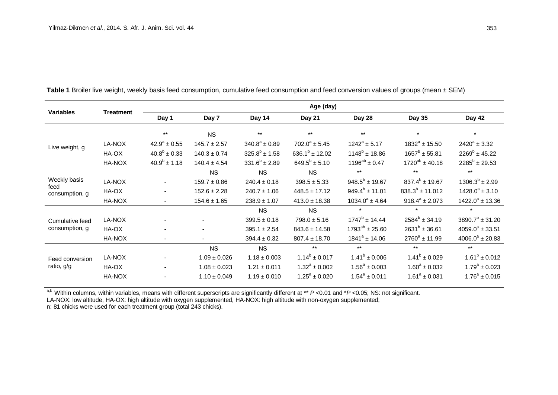| <b>Variables</b>                  | <b>Treatment</b> | Age (day)                |                  |                    |                     |                       |                       |                      |
|-----------------------------------|------------------|--------------------------|------------------|--------------------|---------------------|-----------------------|-----------------------|----------------------|
|                                   |                  | Day 1                    | Day 7            | Day 14             | Day 21              | Day 28                | Day 35                | Day 42               |
|                                   |                  | $***$                    | <b>NS</b>        | $***$              | $***$               | $***$                 | $\star$               | $\star$              |
| Live weight, g                    | LA-NOX           | $42.9^a \pm 0.55$        | $145.7 \pm 2.57$ | $340.8^a \pm 0.89$ | $702.0^a \pm 5.45$  | $1242^a \pm 5.17$     | $1832^a \pm 15.50$    | $2420^a \pm 3.32$    |
|                                   | HA-OX            | $40.8^b \pm 0.33$        | $140.3 \pm 0.74$ | $325.8^b \pm 1.58$ | $636.1^b \pm 12.02$ | $1148^b \pm 18.86$    | $1657^b \pm 55.81$    | $2269^b \pm 45.22$   |
|                                   | HA-NOX           | $40.9^b \pm 1.18$        | $140.4 \pm 4.54$ | $331.6^b \pm 2.89$ | $649.5^b \pm 5.10$  | $1196^{ab} \pm 0.47$  | $1720^{ab} \pm 40.18$ | $2285^b \pm 29.53$   |
| Weekly basis                      |                  |                          | <b>NS</b>        | <b>NS</b>          | <b>NS</b>           | $***$                 | $***$                 | $***$                |
|                                   | LA-NOX           | $\blacksquare$           | $159.7 \pm 0.86$ | $240.4 \pm 0.18$   | $398.5 \pm 5.33$    | $948.5^b \pm 19.67$   | $837.4^b \pm 19.67$   | $1306.3^b \pm 2.99$  |
| feed<br>consumption, g            | HA-OX            |                          | $152.6 \pm 2.28$ | $240.7 \pm 1.06$   | $448.5 \pm 17.12$   | $949.4^b \pm 11.01$   | $838.3^{b}$ ± 11.012  | $1428.0^a \pm 3.10$  |
|                                   | HA-NOX           |                          | $154.6 \pm 1.65$ | $238.9 \pm 1.07$   | $413.0 \pm 18.38$   | $1034.0^a \pm 4.64$   | $918.4^a \pm 2.073$   | $1422.0^a \pm 13.36$ |
|                                   |                  |                          |                  | <b>NS</b>          | <b>NS</b>           | $\star$               | $\star$               | $\star$              |
| Cumulative feed<br>consumption, g | LA-NOX           |                          |                  | $399.5 \pm 0.18$   | $798.0 \pm 5.16$    | $1747^b \pm 14.44$    | $2584^{b} \pm 34.19$  | $3890.7^b \pm 31.20$ |
|                                   | HA-OX            |                          |                  | $395.1 \pm 2.54$   | $843.6 \pm 14.58$   | $1793^{ab} \pm 25.60$ | $2631^{b} \pm 36.61$  | $4059.0^a \pm 33.51$ |
|                                   | HA-NOX           | $\overline{\phantom{a}}$ |                  | $394.4 \pm 0.32$   | $807.4 \pm 18.70$   | $1841^a \pm 14.06$    | $2760^a \pm 11.99$    | $4006.0^a \pm 20.83$ |
| Feed conversion<br>ratio, g/g     |                  |                          | <b>NS</b>        | <b>NS</b>          | $***$               | $***$                 | $***$                 | $***$                |
|                                   | LA-NOX           |                          | $1.09 \pm 0.026$ | $1.18 \pm 0.003$   | $1.14^b \pm 0.017$  | $1.41^b \pm 0.006$    | $1.41^b \pm 0.029$    | $1.61^b \pm 0.012$   |
|                                   | HA-OX            |                          | $1.08 \pm 0.023$ | $1.21 \pm 0.011$   | $1.32^a \pm 0.002$  | $1.56^a \pm 0.003$    | $1.60^a \pm 0.032$    | $1.79^a \pm 0.023$   |
|                                   | HA-NOX           |                          | $1.10 \pm 0.049$ | $1.19 \pm 0.010$   | $1.25^a \pm 0.020$  | $1.54^a \pm 0.011$    | $1.61^a \pm 0.031$    | $1.76^a \pm 0.015$   |

**Table 1** Broiler live weight, weekly basis feed consumption, cumulative feed consumption and feed conversion values of groups (mean ± SEM)

a,b Within columns, within variables, means with different superscripts are significantly different at \*\* *P* <0.01 and \**P* <0.05; NS: not significant.

LA-NOX: low altitude, HA-OX: high altitude with oxygen supplemented, HA-NOX: high altitude with non-oxygen supplemented;

n: 81 chicks were used for each treatment group (total 243 chicks).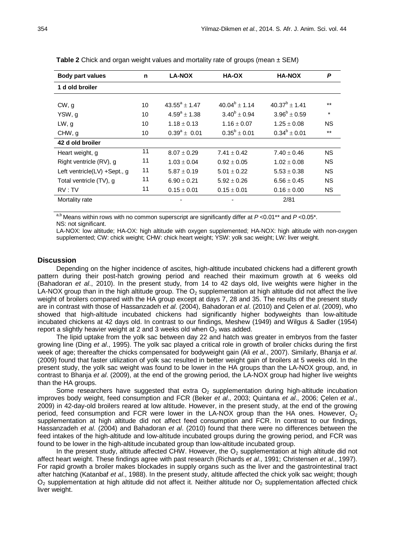| <b>Body part values</b>      | n  | <b>LA-NOX</b>         | <b>HA-OX</b>       | <b>HA-NOX</b>        | P         |
|------------------------------|----|-----------------------|--------------------|----------------------|-----------|
| 1 d old broiler              |    |                       |                    |                      |           |
|                              |    |                       |                    |                      |           |
| CW, g                        | 10 | $43.55^a + 1.47$      | $40.04^b \pm 1.14$ | $40.37^{b} \pm 1.41$ | $***$     |
| YSW, g                       | 10 | $4.59^{\circ}$ ± 1.38 | $3.40^b \pm 0.94$  | $3.96^b \pm 0.59$    | $\star$   |
| LW, g                        | 10 | $1.18 \pm 0.13$       | $1.16 \pm 0.07$    | $1.25 \pm 0.08$      | ΝS        |
| CHW, g                       | 10 | $0.39^a \pm 0.01$     | $0.35^b \pm 0.01$  | $0.34^b \pm 0.01$    | $***$     |
| 42 d old broiler             |    |                       |                    |                      |           |
| Heart weight, g              | 11 | $8.07 \pm 0.29$       | $7.41 \pm 0.42$    | $7.40 \pm 0.46$      | <b>NS</b> |
| Right ventricle (RV), g      | 11 | $1.03 \pm 0.04$       | $0.92 \pm 0.05$    | $1.02 \pm 0.08$      | ΝS        |
| Left ventricle(LV) +Sept., g | 11 | $5.87 \pm 0.19$       | $5.01 \pm 0.22$    | $5.53 \pm 0.38$      | <b>NS</b> |
| Total ventricle (TV), g      | 11 | $6.90 \pm 0.21$       | $5.92 \pm 0.26$    | $6.56 \pm 0.45$      | ΝS        |
| RV: TV                       | 11 | $0.15 \pm 0.01$       | $0.15 \pm 0.01$    | $0.16 \pm 0.00$      | NS.       |
| Mortality rate               |    |                       |                    | 2/81                 |           |
|                              |    |                       |                    |                      |           |

**Table 2** Chick and organ weight values and mortality rate of groups (mean  $\pm$  SEM)

a,b Means within rows with no common superscript are significantly differ at *P* <0.01\*\* and *P* <0.05\*. NS: not significant.

LA-NOX: low altitude; HA-OX: high altitude with oxygen supplemented; HA-NOX: high altitude with non-oxygen supplemented; CW: chick weight; CHW: chick heart weight; YSW: yolk sac weight; LW: liver weight.

#### **Discussion**

Depending on the higher incidence of ascites, high-altitude incubated chickens had a different growth pattern during their post-hatch growing period and reached their maximum growth at 6 weeks old (Bahadoran *et al*., 2010). In the present study, from 14 to 42 days old, live weights were higher in the LA-NOX group than in the high altitude group. The  $O_2$  supplementation at high altitude did not affect the live weight of broilers compared with the HA group except at days 7, 28 and 35. The results of the present study are in contrast with those of Hassanzadeh *et al*. (2004), Bahadoran *et al*. (2010) and Çelen *et al*. (2009), who showed that high-altitude incubated chickens had significantly higher bodyweights than low-altitude incubated chickens at 42 days old. In contrast to our findings, Meshew (1949) and Wilgus & Sadler (1954) report a slightly heavier weight at 2 and 3 weeks old when  $O<sub>2</sub>$  was added.

The lipid uptake from the yolk sac between day 22 and hatch was greater in embryos from the faster growing line (Ding *et al*., 1995). The yolk sac played a critical role in growth of broiler chicks during the first week of age; thereafter the chicks compensated for bodyweight gain (Ali *et al*., 2007). Similarly, Bhanja *et al*. (2009) found that faster utilization of yolk sac resulted in better weight gain of broilers at 5 weeks old. In the present study, the yolk sac weight was found to be lower in the HA groups than the LA-NOX group, and, in contrast to Bhanja *et al*. (2009), at the end of the growing period, the LA-NOX group had higher live weights than the HA groups.

Some researchers have suggested that extra  $O<sub>2</sub>$  supplementation during high-altitude incubation improves body weight, feed consumption and FCR (Beker *et al*., 2003; Quintana *et al*., 2006; Çelen *et al*., 2009) in 42-day-old broilers reared at low altitude. However, in the present study, at the end of the growing period, feed consumption and FCR were lower in the LA-NOX group than the HA ones. However,  $O<sub>2</sub>$ supplementation at high altitude did not affect feed consumption and FCR. In contrast to our findings, Hassanzadeh *et al*. (2004) and Bahadoran *et al*. (2010) found that there were no differences between the feed intakes of the high-altitude and low-altitude incubated groups during the growing period, and FCR was found to be lower in the high-altitude incubated group than low-altitude incubated group.

In the present study, altitude affected CHW. However, the  $O<sub>2</sub>$  supplementation at high altitude did not affect heart weight. These findings agree with past research (Richards *et al*., 1991; Christensen *et al*., 1997). For rapid growth a broiler makes blockades in supply organs such as the liver and the gastrointestinal tract after hatching (Katanbaf *et al*., 1988). In the present study, altitude affected the chick yolk sac weight; though  $O<sub>2</sub>$  supplementation at high altitude did not affect it. Neither altitude nor  $O<sub>2</sub>$  supplementation affected chick liver weight.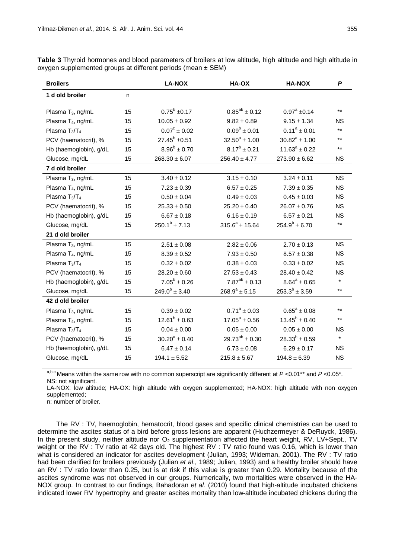| <b>Broilers</b>               |    | <b>LA-NOX</b>            | HA-OX                 | HA-NOX               | P         |
|-------------------------------|----|--------------------------|-----------------------|----------------------|-----------|
| 1 d old broiler               | n  |                          |                       |                      |           |
| Plasma T <sub>3</sub> , ng/mL | 15 | $0.75^b \pm 0.17$        | $0.85^{ab} \pm 0.12$  | $0.97^a \pm 0.14$    | $***$     |
| Plasma T <sub>4</sub> , ng/mL | 15 | $10.05 \pm 0.92$         | $9.82 \pm 0.89$       | $9.15 \pm 1.34$      | <b>NS</b> |
| Plasma $T_3/T_4$              | 15 | $0.07^{\text{c}}\pm0.02$ | $0.09^b \pm 0.01$     | $0.11^a \pm 0.01$    | $***$     |
| PCV (haematocrit), %          | 15 | $27.45^b \pm 0.51$       | $32.50^a \pm 1.00$    | $30.82^a \pm 1.00$   | $***$     |
| Hb (haemoglobin), g/dL        | 15 | $8.96^b \pm 0.70$        | $8.17^b \pm 0.21$     | $11.63^a \pm 0.22$   | $***$     |
| Glucose, mg/dL                | 15 | $268.30 \pm 6.07$        | $256.40 \pm 4.77$     | $273.90 \pm 6.62$    | <b>NS</b> |
| 7 d old broiler               |    |                          |                       |                      |           |
| Plasma T <sub>3</sub> , ng/mL | 15 | $3.40 \pm 0.12$          | $3.15 \pm 0.10$       | $3.24 \pm 0.11$      | <b>NS</b> |
| Plasma T <sub>4</sub> , ng/mL | 15 | $7.23 \pm 0.39$          | $6.57 \pm 0.25$       | $7.39 \pm 0.35$      | <b>NS</b> |
| Plasma $T_3/T_4$              | 15 | $0.50 \pm 0.04$          | $0.49 \pm 0.03$       | $0.45 \pm 0.03$      | <b>NS</b> |
| PCV (haematocrit), %          | 15 | $25.33 \pm 0.50$         | $25.20 \pm 0.40$      | $26.07 \pm 0.76$     | <b>NS</b> |
| Hb (haemoglobin), g/dL        | 15 | $6.67 \pm 0.18$          | $6.16 \pm 0.19$       | $6.57 \pm 0.21$      | <b>NS</b> |
| Glucose, mg/dL                | 15 | $250.1^b \pm 7.13$       | $315.6^a \pm 15.64$   | $254.9^b \pm 6.70$   | $***$     |
| 21 d old broiler              |    |                          |                       |                      |           |
| Plasma T <sub>3</sub> , ng/mL | 15 | $2.51 \pm 0.08$          | $2.82 \pm 0.06$       | $2.70 \pm 0.13$      | <b>NS</b> |
| Plasma T <sub>4</sub> , ng/mL | 15 | $8.39 \pm 0.52$          | $7.93 \pm 0.50$       | $8.57 \pm 0.38$      | <b>NS</b> |
| Plasma $T_3/T_4$              | 15 | $0.32 \pm 0.02$          | $0.38 \pm 0.03$       | $0.33 \pm 0.02$      | <b>NS</b> |
| PCV (haematocrit), %          | 15 | $28.20 \pm 0.60$         | $27.53 \pm 0.43$      | $28.40 \pm 0.42$     | <b>NS</b> |
| Hb (haemoglobin), g/dL        | 15 | $7.05^b \pm 0.26$        | $7.87^{ab} \pm 0.13$  | $8.64^a \pm 0.65$    | $\star$   |
| Glucose, mg/dL                | 15 | $249.0^b \pm 3.40$       | $268.9^a \pm 5.15$    | $253.3^{b} \pm 3.59$ | $***$     |
| 42 d old broiler              |    |                          |                       |                      |           |
| Plasma T <sub>3</sub> , ng/mL | 15 | $0.39 \pm 0.02$          | $0.71^a \pm 0.03$     | $0.65^a \pm 0.08$    | $***$     |
| Plasma T <sub>4</sub> , ng/mL | 15 | $12.61^b \pm 0.63$       | $17.05^a \pm 0.56$    | $13.45^b \pm 0.40$   | $***$     |
| Plasma $T_3/T_4$              | 15 | $0.04 \pm 0.00$          | $0.05 \pm 0.00$       | $0.05 \pm 0.00$      | NS.       |
| PCV (haematocrit), %          | 15 | $30.20^a \pm 0.40$       | $29.73^{ab} \pm 0.30$ | $28.33^{b} \pm 0.59$ | $\star$   |
| Hb (haemoglobin), g/dL        | 15 | $6.47 \pm 0.14$          | $6.73 \pm 0.08$       | $6.29 \pm 0.17$      | <b>NS</b> |
| Glucose, mg/dL                | 15 | $194.1 \pm 5.52$         | $215.8 \pm 5.67$      | $194.8 \pm 6.39$     | <b>NS</b> |
|                               |    |                          |                       |                      |           |

**Table 3** Thyroid hormones and blood parameters of broilers at low altitude, high altitude and high altitude in oxygen supplemented groups at different periods (mean ± SEM)

a,b,c Means within the same row with no common superscript are significantly different at *P* <0.01\*\* and *P* <0.05\*. NS: not significant.

LA-NOX: low altitude; HA-OX: high altitude with oxygen supplemented; HA-NOX: high altitude with non oxygen supplemented;

n: number of broiler.

The RV : TV, haemoglobin, hematocrit, blood gases and specific clinical chemistries can be used to determine the ascites status of a bird before gross lesions are apparent (Huchzermeyer & DeRuyck, 1986). In the present study, neither altitude nor  $O_2$  supplementation affected the heart weight, RV, LV+Sept., TV weight or the RV : TV ratio at 42 days old. The highest RV : TV ratio found was 0.16, which is lower than what is considered an indicator for ascites development (Julian, 1993; Wideman, 2001). The RV : TV ratio had been clarified for broilers previously (Julian *et al*., 1989; Julian, 1993) and a healthy broiler should have an RV : TV ratio lower than 0.25, but is at risk if this value is greater than 0.29. Mortality because of the ascites syndrome was not observed in our groups. Numerically, two mortalities were observed in the HA-NOX group. In contrast to our findings, Bahadoran *et al*. (2010) found that high-altitude incubated chickens indicated lower RV hypertrophy and greater ascites mortality than low-altitude incubated chickens during the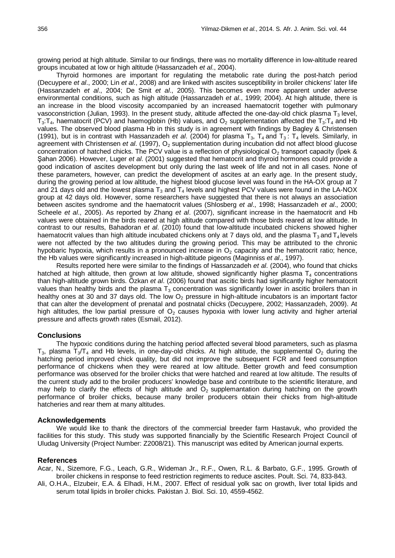growing period at high altitude. Similar to our findings, there was no mortality difference in low-altitude reared groups incubated at low or high altitude (Hassanzadeh *et al*., 2004).

Thyroid hormones are important for regulating the metabolic rate during the post-hatch period (Decuypere *et al*., 2000; Lin *et al*., 2008) and are linked with ascites susceptibility in broiler chickens' later life (Hassanzadeh *et al*., 2004; De Smit *et al*., 2005). This becomes even more apparent under adverse environmental conditions, such as high altitude (Hassanzadeh *et al*., 1999; 2004). At high altitude, there is an increase in the blood viscosity accompanied by an increased haematocrit together with pulmonary vasoconstriction (Julian, 1993). In the present study, altitude affected the one-day-old chick plasma T<sub>3</sub> level,  $T_3$ : $T_4$ , haematocrit (PCV) and haemoglobin (Hb) values, and  $O_2$  supplementation affected the  $T_3$ : $T_4$  and Hb values. The observed blood plasma Hb in this study is in agreement with findings by Bagley & Christensen (1991), but is in contrast with Hassanzadeh *et al.* (2004) for plasma  $T_3$ ,  $T_4$  and  $T_3$ :  $T_4$  levels. Similarly, in agreement with Christensen *et al.* (1997), O<sub>2</sub> supplementation during incubation did not affect blood glucose concentration of hatched chicks. The PCV value is a reflection of physiological  $O_2$  transport capacity (Ipek & Şahan 2006). However, Luger *et al*. (2001) suggested that hematocrit and thyroid hormones could provide a good indication of ascites development but only during the last week of life and not in all cases. None of these parameters, however, can predict the development of ascites at an early age. In the present study, during the growing period at low altitude, the highest blood glucose level was found in the HA-OX group at 7 and 21 days old and the lowest plasma  $T_3$  and  $T_4$  levels and highest PCV values were found in the LA-NOX group at 42 days old. However, some researchers have suggested that there is not always an association between ascites syndrome and the haematocrit values (Shlosberg *et al*., 1998; Hassanzadeh *et al*., 2000; Scheele *et al*., 2005). As reported by Zhang *et al*. (2007), significant increase in the haematocrit and Hb values were obtained in the birds reared at high altitude compared with those birds reared at low altitude. In contrast to our results, Bahadoran *et al*. (2010) found that low-altitude incubated chickens showed higher haematocrit values than high altitude incubated chickens only at 7 days old, and the plasma  $T_3$  and  $T_4$  levels were not affected by the two altitudes during the growing period. This may be attributed to the chronic hypobaric hypoxia, which results in a pronounced increase in  $O<sub>2</sub>$  capacity and the hematocrit ratio; hence, the Hb values were significantly increased in high-altitude pigeons (Maginniss *et al*., 1997).

Results reported here were similar to the findings of Hassanzadeh *et al*. (2004), who found that chicks hatched at high altitude, then grown at low altitude, showed significantly higher plasma  $T_4$  concentrations than high-altitude grown birds. Özkan *et al*. (2006) found that ascitic birds had significantly higher hematocrit values than healthy birds and the plasma  $T_3$  concentration was significantly lower in ascitic broilers than in healthy ones at 30 and 37 days old. The low  $O<sub>2</sub>$  pressure in high-altitude incubators is an important factor that can alter the development of prenatal and postnatal chicks (Decuypere, 2002; Hassanzadeh, 2009). At high altitudes, the low partial pressure of  $O<sub>2</sub>$  causes hypoxia with lower lung activity and higher arterial pressure and affects growth rates (Esmail, 2012).

### **Conclusions**

The hypoxic conditions during the hatching period affected several blood parameters, such as plasma  $T_3$ , plasma  $T_3/T_4$  and Hb levels, in one-day-old chicks. At high altitude, the supplemental O<sub>2</sub> during the hatching period improved chick quality, but did not improve the subsequent FCR and feed consumption performance of chickens when they were reared at low altitude. Better growth and feed consumption performance was observed for the broiler chicks that were hatched and reared at low altitude. The results of the current study add to the broiler producers' knowledge base and contribute to the scientific literature, and may help to clarify the effects of high altitude and  $O<sub>2</sub>$  supplemantation during hatching on the growth performance of broiler chicks, because many broiler producers obtain their chicks from high-altitude hatcheries and rear them at many altitudes.

#### **Acknowledgements**

We would like to thank the directors of the commercial breeder farm Hastavuk, who provided the facilities for this study. This study was supported financially by the Scientific Research Project Council of Uludag University (Project Number: Z2008/21). This manuscript was edited by American journal experts.

### **References**

Acar, N., Sizemore, F.G., Leach, G.R., Wideman Jr., R.F., Owen, R.L. & Barbato, G.F., 1995. Growth of broiler chickens in response to feed restriction regiments to reduce ascites. Poult. Sci. 74, 833-843.

Ali, O.H.A., Elzubeir, E.A. & Elhadi, H.M., 2007. Effect of residual yolk sac on growth, liver total lipids and serum total lipids in broiler chicks. Pakistan J. Biol. Sci. 10, 4559-4562.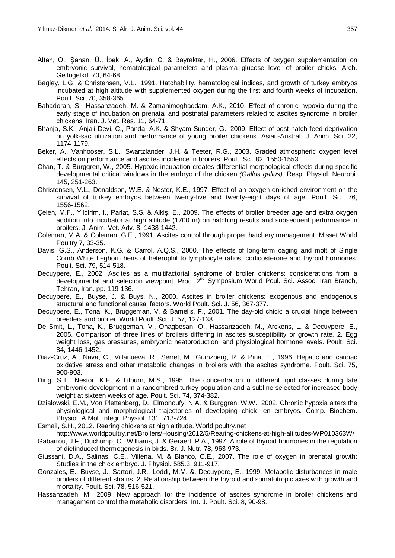- Altan, Ö., Şahan, Ü., İpek, A., Aydin, C. & Bayraktar, H., 2006. Effects of oxygen supplementation on embryonic survival, hematological parameters and plasma glucose level of broiler chicks. Arch. Geflügelkd. 70, 64-68.
- Bagley, L.G. & Christensen, V.L., 1991. Hatchability, hematological indices, and growth of turkey embryos incubated at high altitude with supplemented oxygen during the first and fourth weeks of incubation. Poult. Sci. 70, 358-365.
- Bahadoran, S., Hassanzadeh, M. & Zamanimoghaddam, A.K., 2010. Effect of chronic hypoxia during the early stage of incubation on prenatal and postnatal parameters related to ascites syndrome in broiler chickens. Iran. J. Vet. Res. 11, 64-71.
- Bhanja, S.K., Anjali Devi, C., Panda, A.K. & Shyam Sunder, G., 2009. Effect of post hatch feed deprivation on yolk-sac utilization and performance of young broiler chickens. Asian-Austral. J. Anim. Sci. 22, 1174-1179.
- Beker, A., Vanhooser, S.L., Swartzlander, J.H. & Teeter, R.G., 2003. Graded atmospheric oxygen level effects on performance and ascites incidence in broilers. Poult. Sci. 82, 1550-1553.
- Chan, T. & Burggren, W., 2005. Hypoxic incubation creates differential morphological effects during specific developmental critical windows in the embryo of the chicken *(Gallus gallus)*. Resp. Physiol. Neurobi. 145, 251-263.
- Christensen, V.L., Donaldson, W.E. & Nestor, K.E., 1997. Effect of an oxygen-enriched environment on the survival of turkey embryos between twenty-five and twenty-eight days of age. Poult. Sci. 76, 1556-1562.
- Çelen, M.F., Yildirim, I., Parlat, S.S. & Alkiş, E., 2009. The effects of broiler breeder age and extra oxygen addition into incubator at high altitude (1700 m) on hatching results and subsequent performance in broilers. J. Anim. Vet. Adv. 8, 1438-1442.
- Coleman, M.A. & Coleman, G.E., 1991. Ascites control through proper hatchery management. Misset World Poultry 7, 33-35.
- Davis, G.S., Anderson, K.G. & Carrol, A.Q.S., 2000. The effects of long-term caging and molt of Single Comb White Leghorn hens of heterophil to lymphocyte ratios, corticosterone and thyroid hormones. Poult. Sci. 79, 514-518.
- Decuypere, E., 2002. Ascites as a multifactorial syndrome of broiler chickens: considerations from a developmental and selection viewpoint. Proc. 2<sup>nd</sup> Symposium World Poul. Sci. Assoc. Iran Branch, Tehran, Iran. pp. 119-136.
- Decuypere, E., Buyse, J. & Buys, N., 2000. Ascites in broiler chickens: exogenous and endogenous structural and functional causal factors. World Poult. Sci. J. 56, 367-377.
- Decuypere, E., Tona, K., Bruggeman, V. & Bamelis, F., 2001. The day-old chick: a crucial hinge between breeders and broiler. World Poult. Sci. J. 57, 127-138.
- De Smit, L., Tona, K., Bruggeman, V., Onagbesan, O., Hassanzadeh, M., Arckens, L. & Decuypere, E., 2005. Comparison of three lines of broilers differing in ascites susceptibility or growth rate. 2. Egg weight loss, gas pressures, embryonic heatproduction, and physiological hormone levels. Poult. Sci. 84, 1446-1452.
- Diaz-Cruz, A., Nava, C., Villanueva, R., Serret, M., Guinzberg, R. & Pina, E., 1996. Hepatic and cardiac oxidative stress and other metabolic changes in broilers with the ascites syndrome. Poult. Sci. 75, 900-903.
- Ding, S.T., Nestor, K.E. & Lilburn, M.S., 1995. The concentration of different lipid classes during late embryonic development in a randombred turkey population and a subline selected for increased body weight at sixteen weeks of age. Poult. Sci. 74, 374-382.
- Dzialowski, E.M., Von Plettenberg, D., Elmonoufy, N.A. & Burggren, W.W., 2002. Chronic hypoxia alters the physiological and morphological trajectories of developing chick- en embryos. Comp. Biochem. Physiol. A Mol. Integr. Physiol. 131, 713-724.
- Esmail, S.H., 2012. Rearing chickens at high altitude. World poultry.net
	- <http://www.worldpoultry.net/Broilers/Housing/2012/5/Rearing-chickens-at-high-altitudes-WP010363W/>
- Gabarrou, J.F., Duchump, C., Williams, J. & Geraert, P.A., 1997. A role of thyroid hormones in the regulation of dietinduced thermogenesis in birds. Br. J. Nutr. 78, 963-973.
- Giussani, D.A., Salinas, C.E., Villena, M. & Blanco, C.E., 2007. The role of oxygen in prenatal growth: Studies in the chick embryo. J. Physiol. 585.3, 911-917.
- Gonzales, E., Buyse, J., Sartori, J.R., Loddi, M.M. &. Decuypere, E., 1999. Metabolic disturbances in male broilers of different strains. 2. Relationship between the thyroid and somatotropic axes with growth and mortality. Poult. Sci. 78, 516-521.
- Hassanzadeh, M., 2009. New approach for the incidence of ascites syndrome in broiler chickens and management control the metabolic disorders. Int. J. Poult. Sci. 8, 90-98.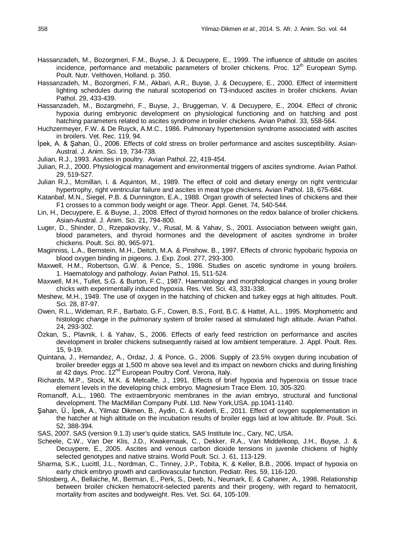- Hassanzadeh, M., Bozorgmeri, F.M., Buyse, J. & Decuypere, E., 1999. The influence of altitude on ascites incidence, performance and metabolic parameters of broiler chickens. Proc.  $12<sup>th</sup>$  European Symp. Poult. Nutr. Velthoven, Holland. p. 350.
- Hassanzadeh, M., Bozorgmeri, F.M., Akbari, A.R., Buyse, J. & Decuypere, E., 2000. Effect of intermittent lighting schedules during the natural scotoperiod on T3-induced ascites in broiler chickens. Avian Pathol. 29, 433-439.
- Hassanzadeh, M., Bozargmehri, F., Buyse, J., Bruggeman, V. & Decuypere, E., 2004. Effect of chronic hypoxia during embryonic development on physiological functioning and on hatching and post hatching parameters related to ascites syndrome in broiler chickens. Avian Pathol. 33, 558-564.
- Huchzermeyer, F.W. & De Ruyck, A.M.C., 1986. Pulmonary hypertension syndrome associated with ascites in broilers. Vet. Rec. 119, 94.
- İpek, A. & Şahan, Ü., 2006. Effects of cold stress on broiler performance and ascites susceptibility. Asian-Austral. J. Anim. Sci. 19, 734-738.
- Julian, R.J., 1993. Ascites in poultry. Avian Pathol. 22, 419-454.
- Julian, R.J., 2000. Physiological management and environmental triggers of ascites syndrome. Avian Pathol. 29, 519-527.
- Julian R.J., Mcmillan, I. & Aquinton, M., 1989. The effect of cold and dietary energy on right ventricular hypertrophy, right ventricular failure and ascites in meat type chickens. Avian Pathol. 18, 675-684.
- Katanbaf, M.N., Siegel, P.B. & Dunnington, E.A., 1988. Organ growth of selected lines of chickens and their F1 crosses to a common body weight or age. Theor. Appl. Genet. 74, 540-544.
- Lin, H., Decuypere, E. & Buyse, J., 2008. Effect of thyroid hormones on the redox balance of broiler chickens. Asian-Austral. J. Anim. Sci. 21, 794-800.
- Luger, D., Shinder, D., Rzepakovsky, V., Rusal, M. & Yahav, S., 2001. Association between weight gain, blood parameters, and thyroid hormones and the development of ascites syndrome in broiler chickens. Poult. Sci. 80, 965-971.
- Maginniss, L.A., Bernstein, M.H., Deitch, M.A. & Pinshow, B., 1997. Effects of chronic hypobaric hypoxia on blood oxygen binding in pigeons. J. Exp. Zool. 277, 293-300.
- Maxwell, H.M., Robertson, G.W. & Pence, S., 1986. Studies on ascetic syndrome in young broilers. 1. Haematology and pathology. Avian Pathol. 15, 511-524.
- Maxwell, M.H., Tullet, S.G. & Burton, F.C., 1987. Haematology and morphological changes in young broiler chicks with experimentally induced hypoxia. Res. Vet. Sci. 43, 331-338.
- Meshew, M.H., 1949. The use of oxygen in the hatching of chicken and turkey eggs at high altitudes. Poult. Sci. 28, 87-97.
- Owen, R.L., Wideman, R.F., Barbato, G.F., Cowen, B.S., Ford, B.C. & Hattel, A.L., 1995. Morphometric and histologic change in the pulmonary system of broiler raised at stimulated high altitude. Avian Pathol. 24, 293-302.
- Özkan, S., Plavnik, I. & Yahav, S., 2006. Effects of early feed restriction on performance and ascites development in broiler chickens subsequently raised at low ambient temperature. J. Appl. Poult. Res. 15, 9-19.
- Quintana, J., Hernandez, A., Ordaz, J. & Ponce, G., 2006. Supply of 23.5% oxygen during incubation of broiler breeder eggs at 1,500 m above sea level and its impact on newborn chicks and during finishing at 42 days. Proc. 12<sup>nd</sup> European Poultry Conf. Verona, Italy.
- Richards, M.P., Stock, M.K. & Metcalfe, J., 1991. Effects of brief hypoxia and hyperoxia on tissue trace element levels in the developing chick embryo. Magnesium Trace Elem. 10, 305-320.
- Romanoff, A.L., 1960. The extraembryonic membranes in the avian embryo, structural and functional development. The MacMillan Company Publ. Ltd. New York,USA. pp.1041-1140.
- Şahan, Ü., İpek, A., Yilmaz Dikmen, B., Aydin, C. & Kederli, E., 2011. Effect of oxygen supplementation in the hatcher at high altitude on the incubation results of broiler eggs laid at low altitude. Br. Poult. Sci. 52, 388-394.
- SAS, 2007. SAS (version 9.1.3) user's quide statics, SAS Institute Inc., Cary, NC, USA.
- Scheele, C.W., Van Der Klis, J.D., Kwakernaak, C., Dekker, R.A., Van Middelkoop, J.H., Buyse, J. & Decuypere, E., 2005. Ascites and venous carbon dioxide tensions in juvenile chickens of highly selected genotypes and native strains. World Poult. Sci. J. 61, 113-129.
- Sharma, S.K., Lucittl, J.L., Nordman, C., Tinney, J.P., Tobita, K. & Keller, B.B., 2006. Impact of hypoxia on early chick embryo growth and cardiovascular function. Pediatr. Res. 59, 116-120.
- Shlosberg, A., Bellaiche, M., Berman, E., Perk, S., Deeb, N., Neumark, E. & Cahaner, A., 1998. Relationship between broiler chicken hematocrit-selected parents and their progeny, with regard to hematocrit, mortality from ascites and bodyweight. Res. Vet. Sci. 64, 105-109.